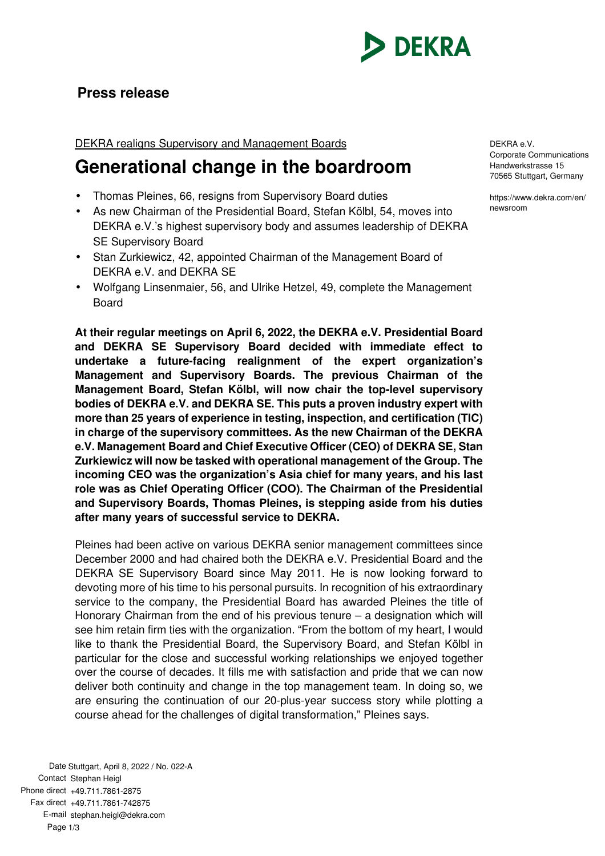

## **Press release**

## DEKRA realigns Supervisory and Management Boards

## **Generational change in the boardroom**

- Thomas Pleines, 66, resigns from Supervisory Board duties
- As new Chairman of the Presidential Board, Stefan Kölbl, 54, moves into DEKRA e.V.'s highest supervisory body and assumes leadership of DEKRA SE Supervisory Board
- Stan Zurkiewicz, 42, appointed Chairman of the Management Board of DEKRA e.V. and DEKRA SE
- Wolfgang Linsenmaier, 56, and Ulrike Hetzel, 49, complete the Management Board

**At their regular meetings on April 6, 2022, the DEKRA e.V. Presidential Board and DEKRA SE Supervisory Board decided with immediate effect to undertake a future-facing realignment of the expert organization's Management and Supervisory Boards. The previous Chairman of the Management Board, Stefan Kölbl, will now chair the top-level supervisory bodies of DEKRA e.V. and DEKRA SE. This puts a proven industry expert with more than 25 years of experience in testing, inspection, and certification (TIC) in charge of the supervisory committees. As the new Chairman of the DEKRA e.V. Management Board and Chief Executive Officer (CEO) of DEKRA SE, Stan Zurkiewicz will now be tasked with operational management of the Group. The incoming CEO was the organization's Asia chief for many years, and his last role was as Chief Operating Officer (COO). The Chairman of the Presidential and Supervisory Boards, Thomas Pleines, is stepping aside from his duties after many years of successful service to DEKRA.** 

Pleines had been active on various DEKRA senior management committees since December 2000 and had chaired both the DEKRA e.V. Presidential Board and the DEKRA SE Supervisory Board since May 2011. He is now looking forward to devoting more of his time to his personal pursuits. In recognition of his extraordinary service to the company, the Presidential Board has awarded Pleines the title of Honorary Chairman from the end of his previous tenure – a designation which will see him retain firm ties with the organization. "From the bottom of my heart, I would like to thank the Presidential Board, the Supervisory Board, and Stefan Kölbl in particular for the close and successful working relationships we enjoyed together over the course of decades. It fills me with satisfaction and pride that we can now deliver both continuity and change in the top management team. In doing so, we are ensuring the continuation of our 20-plus-year success story while plotting a course ahead for the challenges of digital transformation," Pleines says.

DEKRA e.V. Corporate Communications Handwerkstrasse 15 70565 Stuttgart, Germany

https://www.dekra.com/en/ newsroom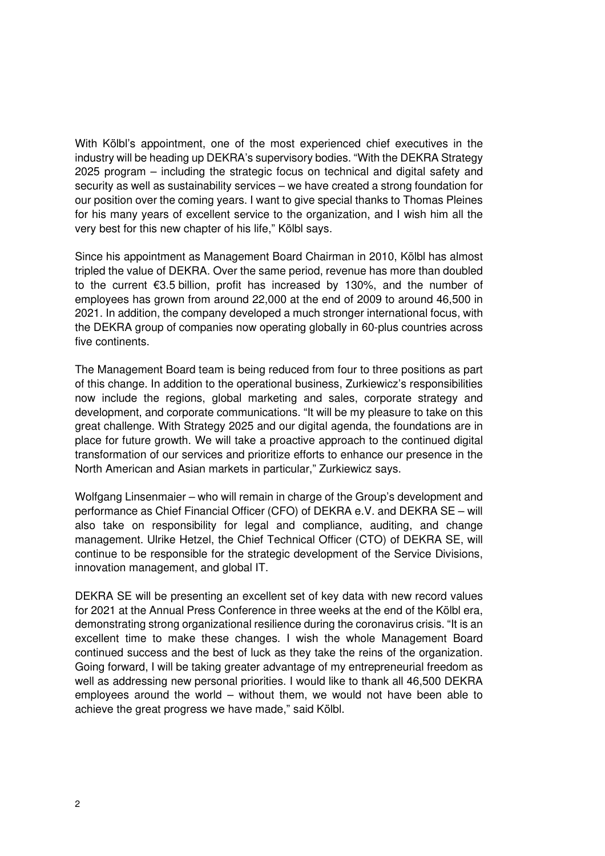With Kölbl's appointment, one of the most experienced chief executives in the industry will be heading up DEKRA's supervisory bodies. "With the DEKRA Strategy 2025 program – including the strategic focus on technical and digital safety and security as well as sustainability services – we have created a strong foundation for our position over the coming years. I want to give special thanks to Thomas Pleines for his many years of excellent service to the organization, and I wish him all the very best for this new chapter of his life," Kölbl says.

Since his appointment as Management Board Chairman in 2010, Kölbl has almost tripled the value of DEKRA. Over the same period, revenue has more than doubled to the current €3.5 billion, profit has increased by 130%, and the number of employees has grown from around 22,000 at the end of 2009 to around 46,500 in 2021. In addition, the company developed a much stronger international focus, with the DEKRA group of companies now operating globally in 60-plus countries across five continents.

The Management Board team is being reduced from four to three positions as part of this change. In addition to the operational business, Zurkiewicz's responsibilities now include the regions, global marketing and sales, corporate strategy and development, and corporate communications. "It will be my pleasure to take on this great challenge. With Strategy 2025 and our digital agenda, the foundations are in place for future growth. We will take a proactive approach to the continued digital transformation of our services and prioritize efforts to enhance our presence in the North American and Asian markets in particular," Zurkiewicz says.

Wolfgang Linsenmaier – who will remain in charge of the Group's development and performance as Chief Financial Officer (CFO) of DEKRA e.V. and DEKRA SE – will also take on responsibility for legal and compliance, auditing, and change management. Ulrike Hetzel, the Chief Technical Officer (CTO) of DEKRA SE, will continue to be responsible for the strategic development of the Service Divisions, innovation management, and global IT.

DEKRA SE will be presenting an excellent set of key data with new record values for 2021 at the Annual Press Conference in three weeks at the end of the Kölbl era, demonstrating strong organizational resilience during the coronavirus crisis. "It is an excellent time to make these changes. I wish the whole Management Board continued success and the best of luck as they take the reins of the organization. Going forward, I will be taking greater advantage of my entrepreneurial freedom as well as addressing new personal priorities. I would like to thank all 46,500 DEKRA employees around the world – without them, we would not have been able to achieve the great progress we have made," said Kölbl.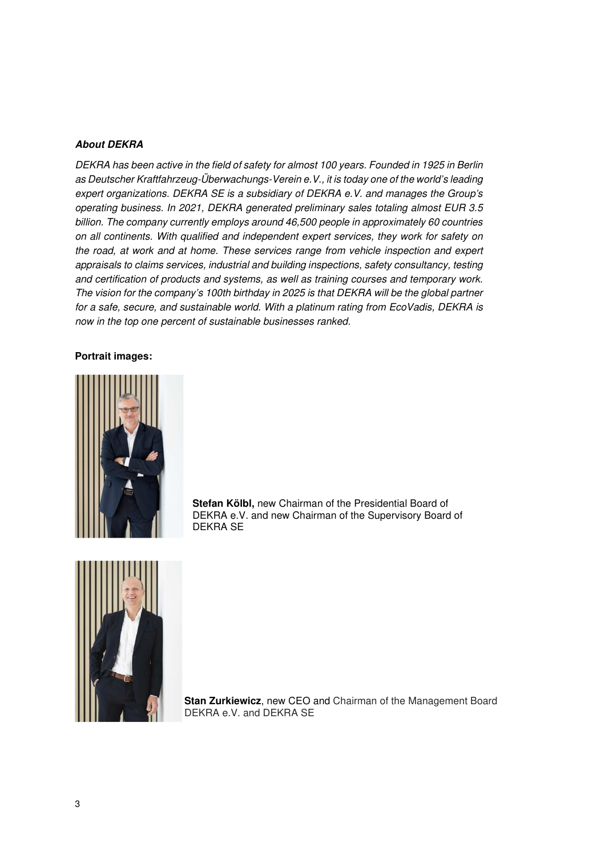## **About DEKRA**

DEKRA has been active in the field of safety for almost 100 years. Founded in 1925 in Berlin as Deutscher Kraftfahrzeug-Überwachungs-Verein e.V., it is today one of the world's leading expert organizations. DEKRA SE is a subsidiary of DEKRA e.V. and manages the Group's operating business. In 2021, DEKRA generated preliminary sales totaling almost EUR 3.5 billion. The company currently employs around 46,500 people in approximately 60 countries on all continents. With qualified and independent expert services, they work for safety on the road, at work and at home. These services range from vehicle inspection and expert appraisals to claims services, industrial and building inspections, safety consultancy, testing and certification of products and systems, as well as training courses and temporary work. The vision for the company's 100th birthday in 2025 is that DEKRA will be the global partner for a safe, secure, and sustainable world. With a platinum rating from EcoVadis, DEKRA is now in the top one percent of sustainable businesses ranked.

**Portrait images:** 



**Stefan Kölbl,** new Chairman of the Presidential Board of DEKRA e.V. and new Chairman of the Supervisory Board of DEKRA SE



**Stan Zurkiewicz**, new CEO and Chairman of the Management Board DEKRA e.V. and DEKRA SE